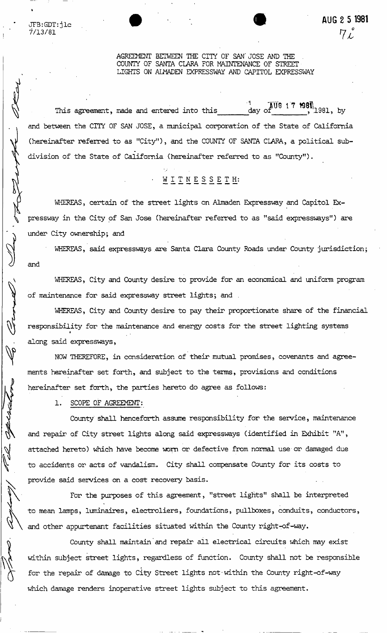**AUG 2 5 1981**   $7L$ 

#### AGREEMENT BETWEEN THE CITY OF SAN' JOSE AND THE COUNTY OF SANTA CLARA FOR MAINTENANCE OF STREET LIGHTS ON ALMADEN EXPRESSWAY AND CAPITOL EXPRESSWAY

This agreement, made and entered into this  $11.1$   $1981,$  by and between the CITY OF SAN JOSE, a municipal corporation of the State of California (hereinafter referred to as "City"), and the COUNTY OF SANTA CLARA, a political subdivision of the State of California (hereinafter referred to as "County").

# -WITNESSETH :

WHEREAS, certain of the street lights on Almaden Expressway and Capitol Expressway in the City of San Jose (hereinafter referred to as "said expressways") are under City ownership; and

WHEREAS, said expressways are Santa Clara County Roads under County jurisdiction; and

WHEREAS, City and County desire to provide for an economical and uniform program of maintenance for said expressway street lights; and .

WHEREAS, City and County desire to pay their proportionate share of the financial responsibility for the maintenance and energy costs for the street lighting systems *\**  along said expressways,

NOW THEREFORE, in consideration of their mutual promises, covenants and agreements hereinafter set forth, and subject to the terns, provisions and conditions hereinafter set forth, the parties hereto do agree as follows:

1. SCOPE OF AGREEMENT:

County shall henceforth assume responsibility for the service, maintenance and repair of City street lights along said expressways (identified in Exhibit "A", attached hereto) which have become worn or defective from normal use or damaged due to accidents or acts of vandalism. City shall compensate County for its costs to provide said services on a cost recovery basis.

For the purposes of this agreement, "street lights" shall be interpreted to mean lamps, luminaires, electroliers, foundations, pullboxes, conduits, conductors, and other appurtenant facilities situated within the County right-of-way.

County shall maintain" and repair all electrical circuits which may exist within subject street lights, regardless of function. County shall not be responsible for the repair of damage to City Street lights not-within the County right-of-way which damage renders inoperative street lights subject to this agreement.

JFB:GDT:jlc 7/13/81

ARBI

apercetors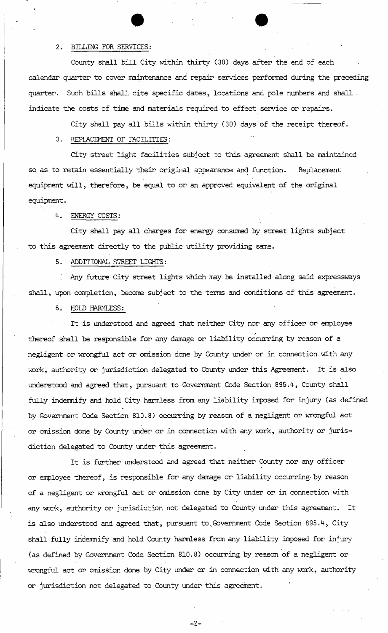## 2. BILLING FOR SERVICES:

County shall bill City within thirty (30) days after the end of each calendar quarter to cover maintenance and repair services performed during the preceding quarter. Such bills shall cite specific dates, locations and pole numbers and shall . indicate the costs of time and materials required to effect service or repairs.

City shall pay all bills within thirty (30) days of the receipt thereof.

**• •** 

### 3. REPLACEMENT OF FACILITIES:

City street light facilities subject to this agreement shall be maintained so as to retain essentially their original appearance and function. Replacement equipment will, therefore, be equal to or an approved equivalent of the original equipment.

## 4. ENERGY COSTS:

City shall pay all charges for energy consumed by street lights subject to this agreement directly to the public utility providing same.

### 5. ADDITIONAL STREET LIGHTS:

Any future City street lights which may be installed along said expressways  $\mathbb{Z}^{\mathbb{Z}}$ shall, upon completion, become subject to the terms and conditions of this agreement.

## 6. HOLD HARMLESS:

It is understood and agreed that neither City nor any officer or employee thereof shall be responsible for any damage or liability occurring by reason of a negligent or wrongful act or omission done by County under or in connection-with any work, authority or jurisdiction delegated to County under this Agreement. It is also understood and agreed that, pursuant to Government Code Section 895.4, County shall fully indemnify and hold City harmless from any liability imposed for injury (as defined by Government Code Section 810.8) occurring by reason of a negligent or wrongful act or omission done by County under or in connection with any vovk, authority or jurisdiction delegated to County under this agreement.

It is further understood and agreed that neither County nor any officer or employee thereof, is responsible for any damage or liability occurring- by reason of a negligent or wrongful act or omission done by City under or in connection with any work, authority or jurisdiction not delegated to County under this agreement. It is also understood and agreed that, pursuant to Government Code Section 895.4, City shall fully indemnify and hold County harmless from any liability imposed for injury (as defined by Government Code Section 810.8) occurring by reason of a negligent or wrongful act or omission done by City under or in connection with any work, authority or jurisdiction not delegated to County under this agreement.

 $-2-$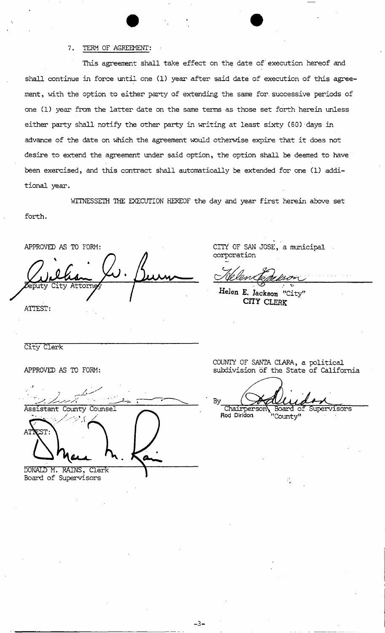#### 7. TERM OF AGREEMENT:

This agreement shall take effect on the date of' execution hereof and shall continue in force until one (1) year after said date of execution of this agreement, with the option to either party of extending the same for. successive periods of one (1) year from the latter date on the same terms as those set forth herein unless either party shall notify the other party in-writing at least sixty (60) days in advance of the date on which the agreement would otherwise expire that it does not desire to extend the agreement under said option, the option shall be deemed to have been exercised, and this contract shall automatically be extended for one (1) additional year.

WITNESSETH THE EXECUTION HEREOF the day and year first herein above set

forth.

APPROVED AS TO FORM  $\mathbf{v}$ puty City Attorn-

ATTEST:

CITY' OF SAN JOSE, a municipal corporation

**Helen E. Jackson** "City" **CITY CLERK** 

City Clerk

APPROVED AS TO FORM:

Assistant County Counsel DONALD M. RAINS, Clerk

Board of Supervisors

COUNTY OF SANTA CLARA, a political subdivision of the State of California

By Chairperson\ Board of Supervisors<br>Rod Diridon "County" **Rod Diridon** "County"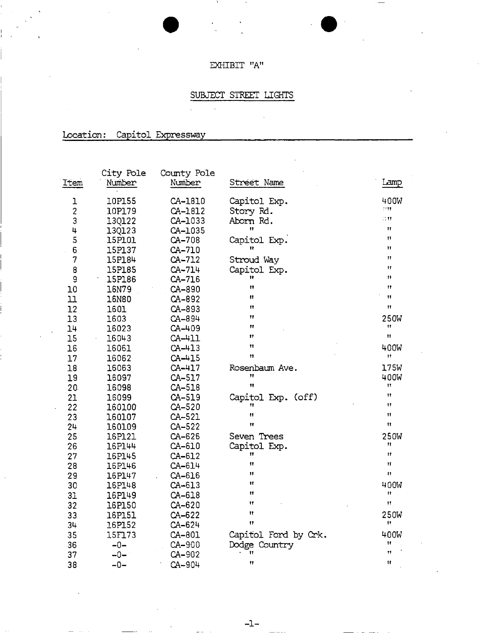## $\textsf{EXHIBIT}$ "A"

## SUBJECT STREET LIGHTS

Location: Capitol Expressway

| Item                    | City Pole<br>Number | County Pole<br>Number | Street Name          | Lamp             |
|-------------------------|---------------------|-----------------------|----------------------|------------------|
| ı                       | <b>10P155</b>       | CA-1810               | Capitol Exp.         | 400W             |
| $\overline{\mathbf{c}}$ | 10P179              | CA-1812               | Story Rd.            | 1111             |
| 3                       | 13Q122              | CA-1033               | Aborn Rd.            | u m              |
| 4                       | 13Q123              | CA-1035               | Ħ                    | 11               |
| 5                       | 15P101              | CA-708                | Capitol Exp.         | Ħ                |
| 6                       | 15P137              | CA-710                |                      | 11               |
| 7                       | 15P184              | CA-712                | Stroud Way           | Ħ                |
| 8                       | 15P185              | CA-714                | Capitol Exp.         | $\mathbf{H}$     |
| 9                       | 15P186              | CA-716                | Ħ                    | Ħ                |
| 10                      | 16N79               | CA-890                | Ħ                    | Ħ                |
| 11                      | <b>16N80</b>        | CA-892                | Ħ                    | 11               |
| 12                      | 1601                | CA-893                | $\mathbf{H}$         | Ħ                |
| 13                      | 1603                | CA-894                | Ħ                    | <b>250W</b>      |
| 14                      | 16023               | CA-409                | Ħ                    | Ħ<br>Ħ           |
| 15                      | 16043               | CA-411                | Ħ                    |                  |
| 16                      | 16061               | $CA-413$              | Ħ                    | 400W             |
| 17                      | 16062               | $CA-415$              | Ħ                    | 11               |
| 18                      | 16063               | $CA-417$              | Rosenbaum Ave.       | 175W             |
| 19                      | 16097               | CA-517                | Ħ<br>Ħ               | 400W             |
| 20 <sub>1</sub>         | 16098               | CA-518                |                      | 11               |
| 21                      | 16099               | CA-519                | Capitol Exp. (off)   | Ħ<br>11          |
| 22                      | 160100              | CA-520                | Ħ                    | Ħ                |
| 23                      | 160107              | CA-521                | Ħ                    | Ħ                |
| 24                      | 160109              | CA-522                |                      |                  |
| 25                      | 16P121              | CA-626                | Seven Trees          | <b>250W</b><br>Ħ |
| 26                      | 16P144              | CA-610                | Capitol Exp.<br>Ħ    | Ħ                |
| 27                      | <b>16P145</b>       | CA-612                | $^{\dagger}$         | Ħ                |
| 28                      | 16P146              | CA-614                | Ħ                    | n                |
| 29                      | 16P147              | CA-616                | Ħ                    |                  |
| 30                      | 16P148              | CA-613                | $^{\dagger}$         | 400W<br>11       |
| 31                      | 16P149              | CA-618                | 17                   | Ħ                |
| 32                      | 16P150              | CA-620                | Ħ                    |                  |
| 33                      | 16P151              | CA-622                | $^{\dagger}$         | 250W<br>Ħ        |
| 34                      | 16P152              | CA-624                |                      |                  |
| 35                      | 15F173              | CA-801                | Capitol Ford by Crk. | 400W             |
| 36                      | $-0-$               | CA-900                | Dodge Country        | 11<br>11         |
| 37                      | $-0-$               | CA-902                | 11                   |                  |
| 38                      | –∩–                 | $CA-904$              | Ħ                    | $\mathbf{H}$     |

 $-1-$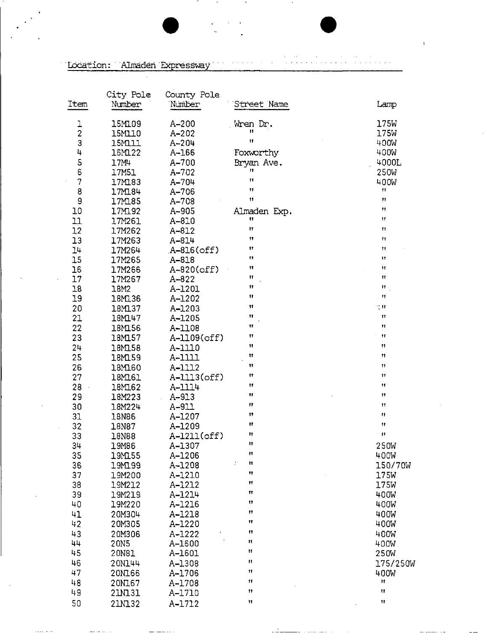Location: Almaden Expressway  $\ddot{\phantom{a}}$ 

| Item                     | City Pole<br>Number | County Pole<br>Number | Street Name         | Lamp                      |
|--------------------------|---------------------|-----------------------|---------------------|---------------------------|
|                          | 15M109              | $A - 200$             | Wren Dr.            | 175W                      |
| $\frac{1}{2}$            | 15M110              | $A - 202$             | $\mathbf{H}$        | 175W                      |
| 3                        | <b>15M111</b>       | $A - 204$             | Ħ                   | 400W                      |
| 4                        | 16M122              | A-166                 | Foxworthy           | 400W                      |
| 5                        | 17M4                | $A - 700$             | Bryan Ave.          | 4000L                     |
| 6                        | 17M51               | A-702                 | Ħ                   | 250W                      |
| $\overline{\mathcal{U}}$ | 17M183              | A-704                 | Ħ                   | 400W                      |
| 8                        | 17M184              | A-706                 | Ħ                   | Ħ                         |
| 9                        | 17M185              | A-708                 | $^{\dagger}$        | $\boldsymbol{\mathsf{H}}$ |
| 10                       | 17M192              | A-905                 | Almaden Exp.        | Ħ                         |
| 11                       | 17M261              | A-810                 | n                   | 17                        |
| 12                       | 17M262              | A-812                 | Ħ                   | Ħ                         |
| 13                       | 17M263              | A-814                 | 11                  | Ħ                         |
| 14                       | 17M264              | $A-816(off)$          | Ħ                   | Ħ                         |
| 15                       | 17M265              | A-818                 | 11                  | $\mathbf{H}$              |
| 16                       | 17M266              | A-820(off)            | 11                  | Ħ                         |
| 17                       | 17M267              | A-822                 | Ħ                   | Ħ                         |
| 18                       | 18M2                | A-1201                | $^{\dagger}$        | 11                        |
| 19                       | 18M136              | A-1202                | 11                  | Ħ                         |
| 20                       | 18M137              | A-1203                | $\mathbf{H}$        | ् ॥                       |
| 21                       | 18M147              | A-1205                | 11                  | 11                        |
| 22                       | 18M156              | A-1108                | 11                  | 11                        |
| 23                       | 18M157              | A-1109(off)           | $\pmb{\mathcal{H}}$ | $\pmb{\mathsf{11}}$       |
| 24                       | 18M158              | A-1110                | $\mathbf{H}$        | Ħ                         |
| 25                       | 18M159              | A-1111                | 11                  | 11                        |
| 26                       | 18M160              | A-1112                | 11                  | Ħ                         |
| 27                       | 18M161              | A-1113(off)           | Ħ                   | 11                        |
| 28                       | 18M162              | A-1114                | $\mathbf{H}$<br>Ħ   | Ħ                         |
| 29                       | 18M223              | A-913                 | $^{\dagger}$        | Ħ<br>Ħ                    |
| 30                       | 18M224              | A-911                 | 11                  | 11                        |
| 31                       | 18N86               | A-1207                | $\mathbf{H}$        | Ħ                         |
| 32                       | 18N87               | A-1209                | Ħ                   | Ħ                         |
| 33                       | 18N88               | A-1211(off)           | Ħ                   |                           |
| 34                       | 19M86               | A-1307                | 11                  | 250W                      |
| 35                       | 19M155              | A-1206                | ÷.<br>Ħ             | 400W<br>150/70W           |
| 36<br>37                 | 19M199<br>19M200    | A-1208<br>A-1210      | 11                  | 175W                      |
| 38                       | 19M212              | A-1212                | 11                  | 175W                      |
| 39                       | 19M219              | A-1214                | Ħ                   | 400W                      |
| 40                       | 19M220              | A-1216                | Ħ                   | 400W                      |
| 41                       | 20M304              | A-1218                | 11                  | 400W                      |
| 42                       | 20M305              | A-1220                | Ħ                   | 400W                      |
| 43                       | 20M306              | A-1222                | $^{\dagger}$        | 400W                      |
| 44                       | 20N5                | A-1600                | Ħ                   | 400W                      |
| 45                       | 20N81               | A-1601                | $\mathbf{H}$        | 250W                      |
| 46                       | 20N144              | A-1308                | $\mathbf{H}$        | 175/250W                  |
| 47                       | 20N166              | A-1706                | $^{\dagger}$        | 400W                      |
| 48                       | 20N167              | A-1708                | Ħ                   | Ħ                         |
| 49                       | 21M131              | A-1710                | 11                  | Ħ                         |
| 50                       | 21N132              | A-1712                | 11                  | 11                        |
|                          |                     |                       |                     |                           |

 $\mathbf{I}$ 

 $\omega = \omega - \omega$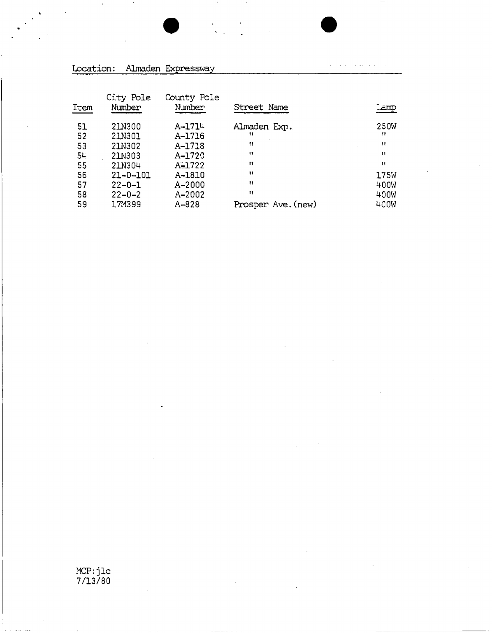

 $\mu$  . The contract of the contract  $\mu$ 

## Location: Almaden Expressway

| Item | City Pole<br>Number | County Pole<br>Number | Street Name        | amp  |
|------|---------------------|-----------------------|--------------------|------|
| 51   | 21N300              | A-1714                | Almaden Exp.       | 250W |
| 52   | 21N301              | A-1716                | 11                 | -11  |
| 53   | 21N302              | A-1718                | $^{\dagger}$       | 11   |
| 54   | 21N303              | A-1720                | 11                 | 11   |
| 55   | 21N304              | $A = 1722$            | n                  | 11   |
| 56   | $21 - 0 - 101$      | A-1810                | $^{\bullet}$       | 175W |
| 57   | $22 - 0 - 1$        | A-2000                | $^{\bullet}$       | 400W |
| 58   | $22 - 0 - 2$        | A-2002                | Ħ                  | 400W |
| 59   | 17M399              | A-828                 | Prosper Ave. (new) | 400W |

MCP:jlc 7/13/80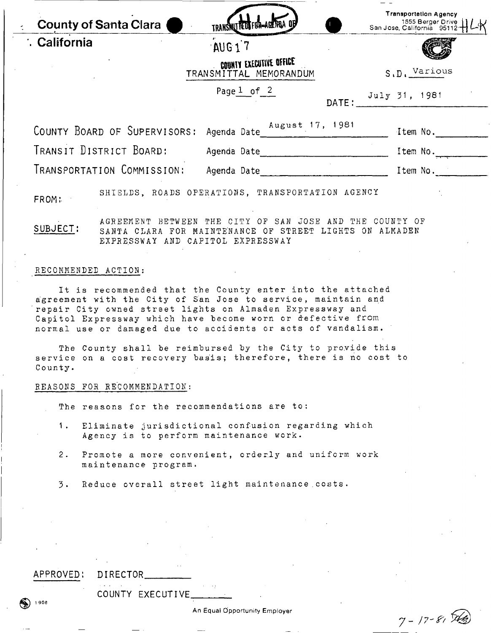|              | <b>County of Santa Clara</b> | TRANSMUTED FOR ACTION OF                                                                                                                                                               | <b>Transportation Agency</b><br>1555 Berger Drive                           |
|--------------|------------------------------|----------------------------------------------------------------------------------------------------------------------------------------------------------------------------------------|-----------------------------------------------------------------------------|
| ∴ California |                              | AUG17                                                                                                                                                                                  |                                                                             |
|              |                              | COUNTY EXECUTIVE OFFICE<br>TRANSMITTAL MEMORANDUM                                                                                                                                      | $S, D, \frac{Various}{I}$                                                   |
|              |                              | Page $1$ of $2$                                                                                                                                                                        | $\texttt{DATE:} \begin{array}{c} \texttt{July} \ 31, \ 1981 \\ \end{array}$ |
|              |                              | COUNTY BOARD OF SUPERVISORS: Agenda Date August 17, 1981                                                                                                                               | Item No.                                                                    |
|              | TRANSIT DISTRICT BOARD:      |                                                                                                                                                                                        | Item No.                                                                    |
|              | TRANSPORTATION COMMISSION:   | Agenda Date                                                                                                                                                                            | Item No.                                                                    |
| FROM:        |                              | SHIELDS, ROADS OPERATIONS, TRANSPORTATION AGENCY                                                                                                                                       |                                                                             |
| SUBJECT:     |                              | AGREEMENT BETWEEN THE CITY OF SAN JOSE AND THE COUNTY OF<br>SANTA CLARA FOR MAINTENANCE OF STREET LIGHTS ON ALMADEN<br>EXPRESSWAY AND CAPITOL EXPRESSWAY                               |                                                                             |
|              | RECOMMENDED ACTION:          |                                                                                                                                                                                        |                                                                             |
|              |                              | It is recommended that the County enter into the attached<br>agreement with the City of San Jose to service, maintain and<br>repair City owned street lights on Almaden Expressway and |                                                                             |

Capitol Expressway which have become worn or defective from **norma l use or damage d due to accident s or acts of vandalism .** 

The County shall be reimbursed by the City to pro.vide this **servic e on a cost recover y basis ; therefore , ther e is no cost to County .** 

#### **REASON S FOR RECOMMENDATION :**

The reasons for the recommendations are to:

- **1.** Eliminate jurisdictional confusion regarding which **Agenc y is to perfor m maintenanc e work .**
- **2 . Promot e a mor e convenient , order.ly and unifor m wor k maintenanc e program .**
- **3 . Reduc e overal l stree t ligh t maintenanc e , costs .**

#### **APPROVED : DIRECTO R**

1908

**COUNT Y EXECUTIVE .** 

An Equal Opportunity Employer

7 - *p-ft*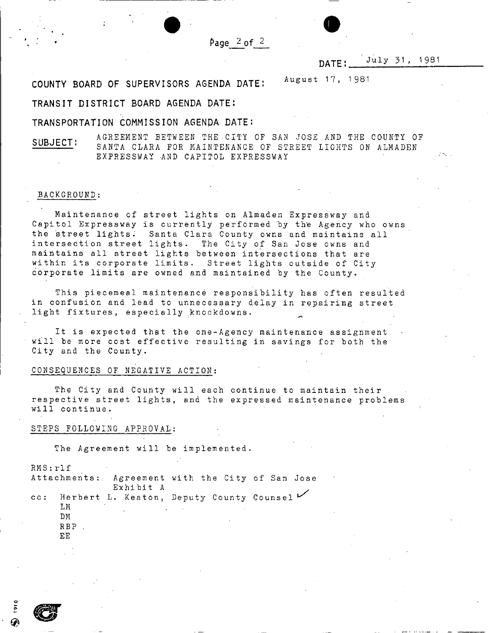$Page_2$  of

#### **DATE:. . July 31 , 1981**

**COUNT Y BOAR D O F SUPERVISOR S AGEND A DATE :**  August 17, 1981

#### **TRANSI T DISTRIC T BOAR D AGEND A DATE :**

#### **TRANSPORTATIO N COMMISSIO N AGEND A DATE :**

**SUBJECT:** AGREEMENT BETWEEN THE CITY OF SAN JOSE AND THE COUNTY OF **SUBJECT:** SANTA CLARA FOR MAINTENANCE OF STREET LIGHTS ON ALMADEN EXPRESSWAY AND CAPITOL EXPRESSWAY

#### **BACKGROUND :**

Maintenance of street lights on Almaden Expressway and Capitol Expressway is currently performed by the Agency who owns the street lights. Santa Clara County owns and maintains all intersection street lights. The City of San Jose owns and **maintain s all stree t light s betwee n intersection s that are withi n its corporat e limits . Stree t light s outsid e of Cit y corporat e limit s are owned and maintaine d by the County .** 

This piecemeal maintenance responsibility has often resulted in confusion and lead to unnecessary delay in repairing street **light fixtures , especiall y knockdowns . ^** 

It is expected that the one-Agency maintenance assignment will be more cost effective resulting in savings for both the **City and the County .** 

#### **CONSEQUENCE S OF NEGATIV E ACTION :**

The City and County will each continue to maintain their **respectiv e stree t lights , and the expresse d maintenanc e problem s wi1 1 continue .** 

#### STEPS FOLLOWING APPROVAL:

The Agreement will be implemented.

**RMS:rl f**  Attachments: Agreement with the City of San Jose **Exhibi t A**  cc: Herbert L. Keaton, Deputy County Counsel **LM . DM R B P . EE** 

o